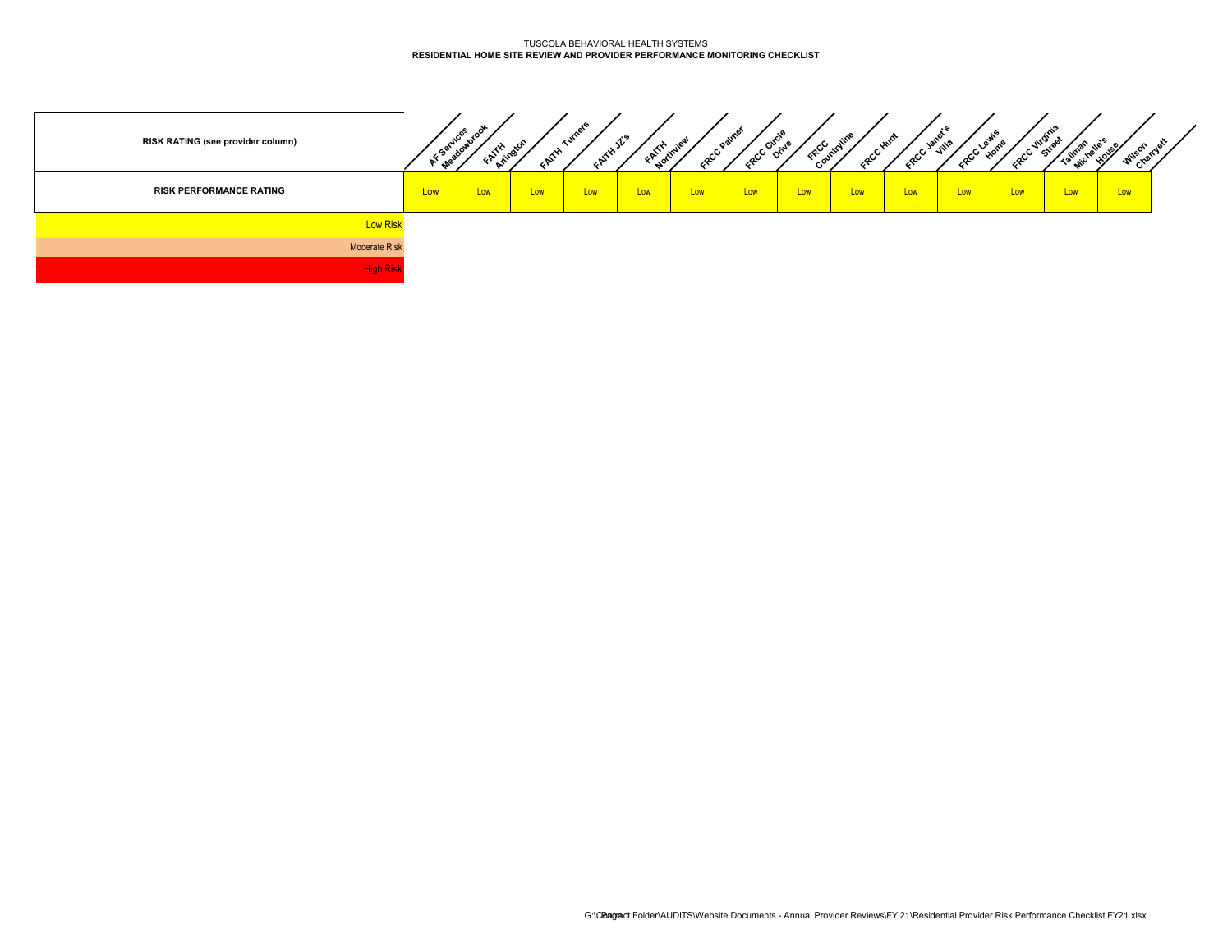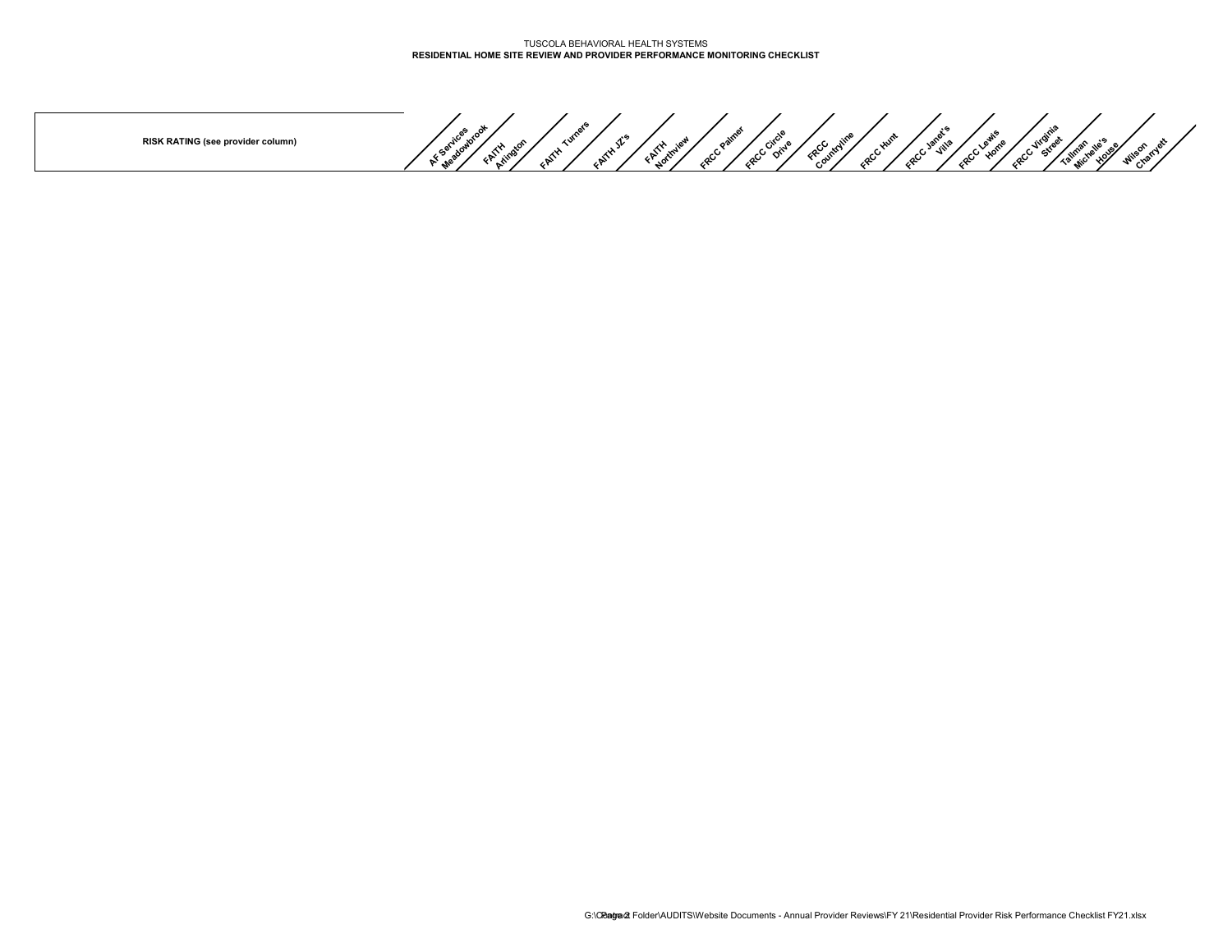**RISK RATING (see provider column)**

AF Services avec of **FAITH Arlington FAITH Turners FAITH JZ's FAITH Northview FRCC Paines FRCC Circle FRCC Countryline FRCC Hunt FRCC Janet's Home Contribution According to the Charles Associates**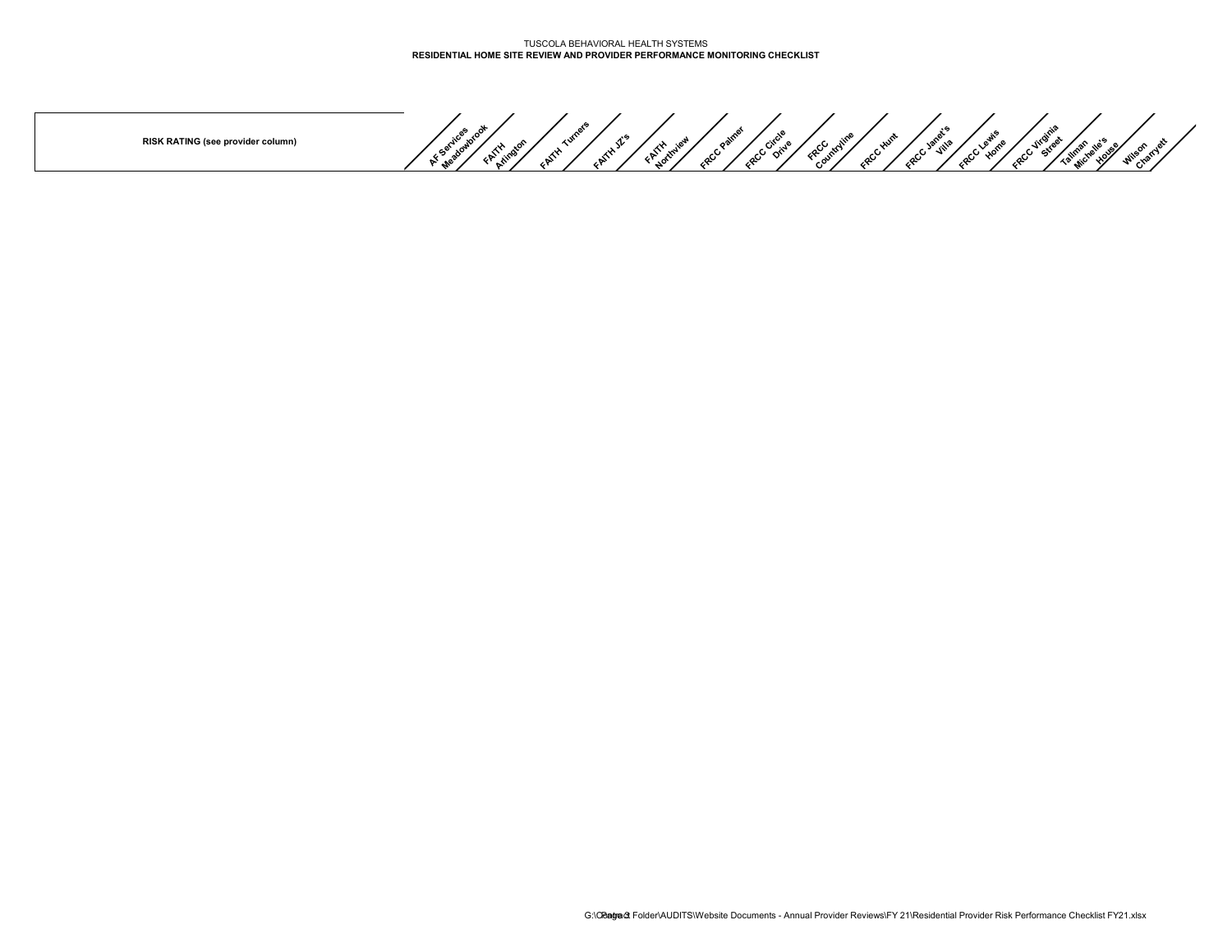**RISK RATING (see provider column)**

AF Services avec of **FAITH Arlington FAITH Turners FAITH JZ's FAITH Northview FRCC Paines FRCC Circle FRCC Countryline FRCC Hunt FRCC Janet's Home Contribution According to the Charles Associates**